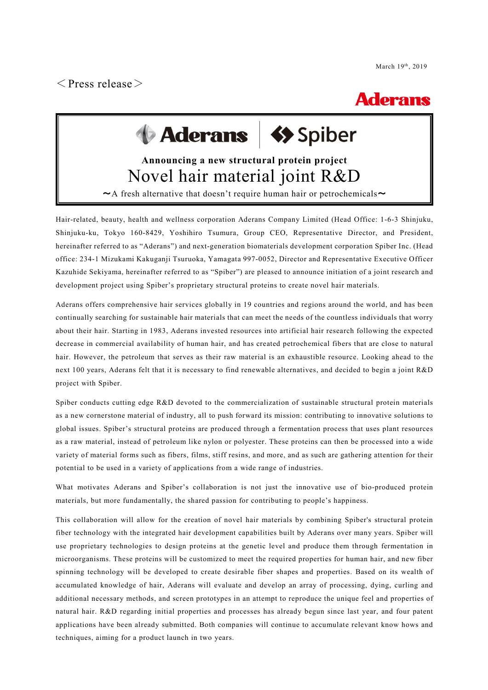$\langle$  Press release $\rangle$ 

## **Aderans**

# Aderans **Sy** Spiber

### **Announcing a new structural protein project** Novel hair material joint R&D

 $\sim$ A fresh alternative that doesn't require human hair or petrochemicals $\sim$ 

Hair-related, beauty, health and wellness corporation Aderans Company Limited (Head Office: 1-6-3 Shinjuku, Shinjuku-ku, Tokyo 160-8429, Yoshihiro Tsumura, Group CEO, Representative Director, and President, hereinafter referred to as "Aderans") and next-generation biomaterials development corporation Spiber Inc. (Head office: 234-1 Mizukami Kakuganji Tsuruoka, Yamagata 997-0052, Director and Representative Executive Officer Kazuhide Sekiyama, hereinafter referred to as "Spiber") are pleased to announce initiation of a joint research and development project using Spiber's proprietary structural proteins to create novel hair materials.

Aderans offers comprehensive hair services globally in 19 countries and regions around the world, and has been continually searching for sustainable hair materials that can meet the needs of the countless individuals that worry about their hair. Starting in 1983, Aderans invested resources into artificial hair research following the expected decrease in commercial availability of human hair, and has created petrochemical fibers that are close to natural hair. However, the petroleum that serves as their raw material is an exhaustible resource. Looking ahead to the next 100 years, Aderans felt that it is necessary to find renewable alternatives, and decided to begin a joint R&D project with Spiber.

Spiber conducts cutting edge R&D devoted to the commercialization of sustainable structural protein materials as a new cornerstone material of industry, all to push forward its mission: contributing to innovative solutions to global issues. Spiber's structural proteins are produced through a fermentation process that uses plant resources as a raw material, instead of petroleum like nylon or polyester. These proteins can then be processed into a wide variety of material forms such as fibers, films, stiff resins, and more, and as such are gathering attention for their potential to be used in a variety of applications from a wide range of industries.

What motivates Aderans and Spiber's collaboration is not just the innovative use of bio-produced protein materials, but more fundamentally, the shared passion for contributing to people's happiness.

This collaboration will allow for the creation of novel hair materials by combining Spiber's structural protein fiber technology with the integrated hair development capabilities built by Aderans over many years. Spiber will use proprietary technologies to design proteins at the genetic level and produce them through fermentation in microorganisms. These proteins will be customized to meet the required properties for human hair, and new fiber spinning technology will be developed to create desirable fiber shapes and properties. Based on its wealth of accumulated knowledge of hair, Aderans will evaluate and develop an array of processing, dying, curling and additional necessary methods, and screen prototypes in an attempt to reproduce the unique feel and properties of natural hair. R&D regarding initial properties and processes has already begun since last year, and four patent applications have been already submitted. Both companies will continue to accumulate relevant know hows and techniques, aiming for a product launch in two years.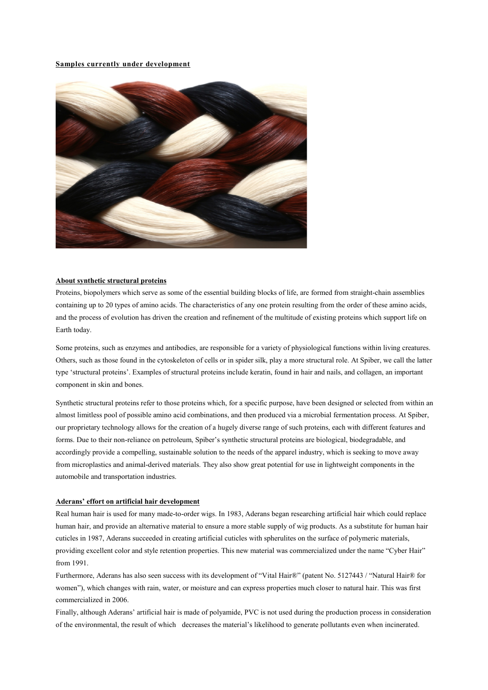#### **Samples currently under development**



#### **About synthetic structural proteins**

Proteins, biopolymers which serve as some of the essential building blocks of life, are formed from straight-chain assemblies containing up to 20 types of amino acids. The characteristics of any one protein resulting from the order of these amino acids, and the process of evolution has driven the creation and refinement of the multitude of existing proteins which support life on Earth today.

Some proteins, such as enzymes and antibodies, are responsible for a variety of physiological functions within living creatures. Others, such as those found in the cytoskeleton of cells or in spider silk, play a more structural role. At Spiber, we call the latter type 'structural proteins'. Examples of structural proteins include keratin, found in hair and nails, and collagen, an important component in skin and bones.

Synthetic structural proteins refer to those proteins which, for a specific purpose, have been designed or selected from within an almost limitless pool of possible amino acid combinations, and then produced via a microbial fermentation process. At Spiber, our proprietary technology allows for the creation of a hugely diverse range of such proteins, each with different features and forms. Due to their non-reliance on petroleum, Spiber's synthetic structural proteins are biological, biodegradable, and accordingly provide a compelling, sustainable solution to the needs of the apparel industry, which is seeking to move away from microplastics and animal-derived materials. They also show great potential for use in lightweight components in the automobile and transportation industries.

#### **Aderans' effort on artificial hair development**

Real human hair is used for many made-to-order wigs. In 1983, Aderans began researching artificial hair which could replace human hair, and provide an alternative material to ensure a more stable supply of wig products. As a substitute for human hair cuticles in 1987, Aderans succeeded in creating artificial cuticles with spherulites on the surface of polymeric materials, providing excellent color and style retention properties. This new material was commercialized under the name "Cyber Hair" from 1991.

Furthermore, Aderans has also seen success with its development of "Vital Hair®" (patent No. 5127443 / "Natural Hair® for women"), which changes with rain, water, or moisture and can express properties much closer to natural hair. This was first commercialized in 2006.

Finally, although Aderans' artificial hair is made of polyamide, PVC is not used during the production process in consideration of the environmental, the result of which decreases the material's likelihood to generate pollutants even when incinerated.